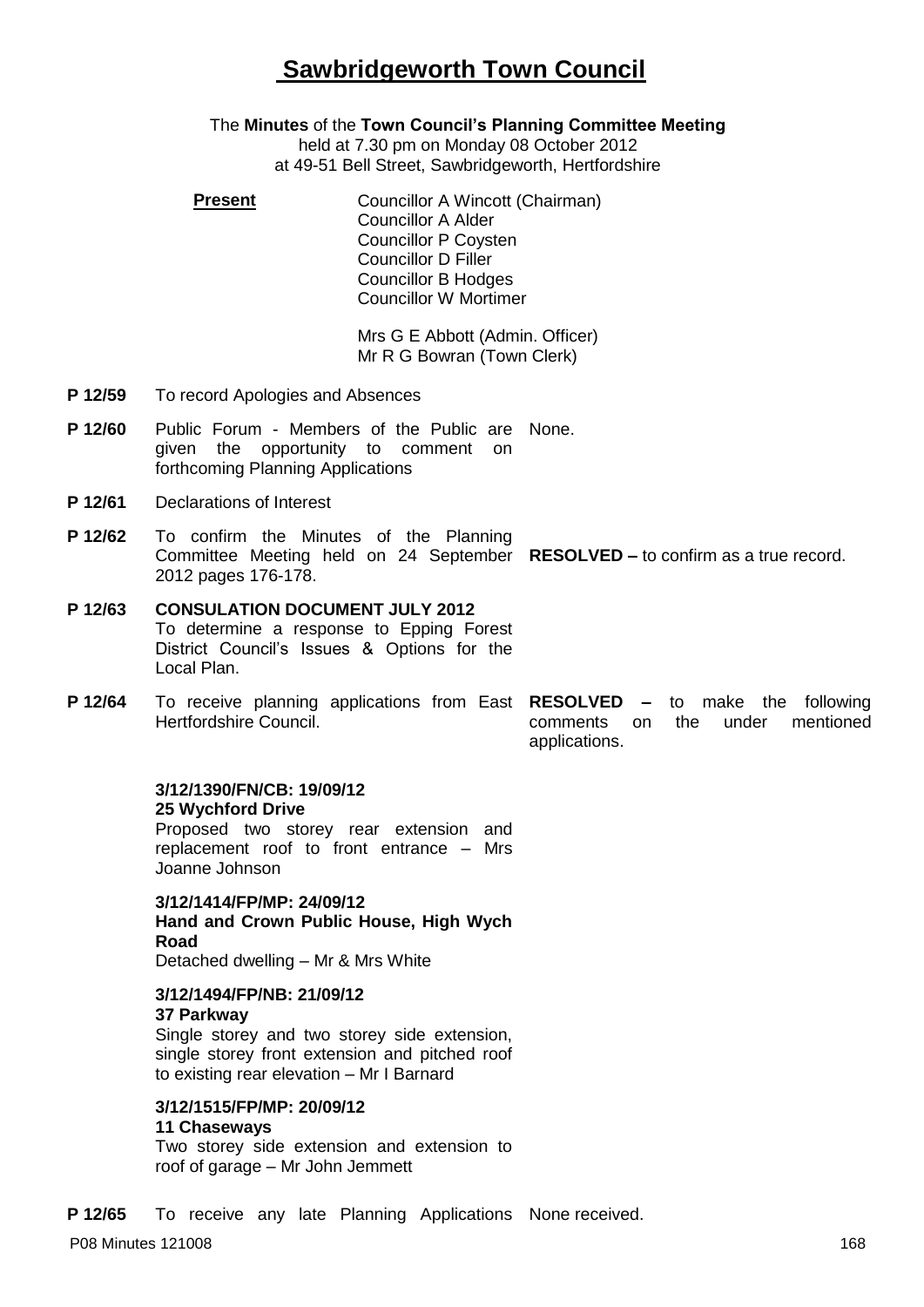# **Sawbridgeworth Town Council**

## The **Minutes** of the **Town Council's Planning Committee Meeting**

held at 7.30 pm on Monday 08 October 2012 at 49-51 Bell Street, Sawbridgeworth, Hertfordshire

**Present Councillor A Wincott (Chairman)** Councillor A Alder Councillor P Coysten Councillor D Filler Councillor B Hodges Councillor W Mortimer

> Mrs G E Abbott (Admin. Officer) Mr R G Bowran (Town Clerk)

- **P 12/59** To record Apologies and Absences
- P 12/60 Public Forum Members of the Public are None. given the opportunity to comment on forthcoming Planning Applications
- **P 12/61** Declarations of Interest
- **P 12/62** To confirm the Minutes of the Planning Committee Meeting held on 24 September **RESOLVED –** to confirm as a true record. 2012 pages 176-178.
- **P 12/63 CONSULATION DOCUMENT JULY 2012** To determine a response to Epping Forest District Council's Issues & Options for the Local Plan.
- **P 12/64** To receive planning applications from East **RESOLVED –** to make the following Hertfordshire Council. comments on the under mentioned applications.

# **3/12/1390/FN/CB: 19/09/12 25 Wychford Drive**

Proposed two storey rear extension and replacement roof to front entrance – Mrs Joanne Johnson

**3/12/1414/FP/MP: 24/09/12 Hand and Crown Public House, High Wych Road** Detached dwelling – Mr & Mrs White

#### **3/12/1494/FP/NB: 21/09/12 37 Parkway**

Single storey and two storey side extension, single storey front extension and pitched roof to existing rear elevation – Mr I Barnard

# **3/12/1515/FP/MP: 20/09/12**

### **11 Chaseways**

Two storey side extension and extension to roof of garage – Mr John Jemmett

**P 12/65** To receive any late Planning Applications None received.